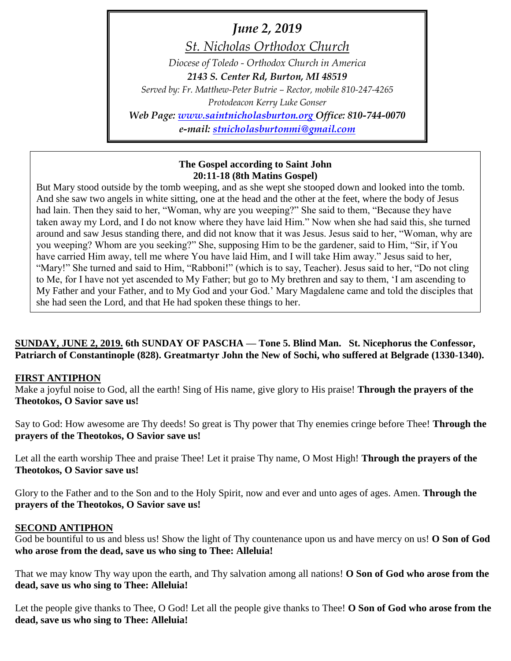*June 2, 2019*

*St. Nicholas Orthodox Church*

*Diocese of Toledo - Orthodox Church in America 2143 S. Center Rd, Burton, MI 48519 Served by: Fr. Matthew-Peter Butrie – Rector, mobile 810-247-4265 Protodeacon Kerry Luke Gonser Web Page: [www.saintnicholasburton.org](http://www.saintnicholasburton.org/) Office: 810-744-0070*

*e-mail: [stnicholasburtonmi@gmail.com](mailto:stnicholasburtonmi@gmail.com)*

#### **The Gospel according to Saint John 20:11-18 (8th Matins Gospel)**

But Mary stood outside by the tomb weeping, and as she wept she stooped down and looked into the tomb. And she saw two angels in white sitting, one at the head and the other at the feet, where the body of Jesus had lain. Then they said to her, "Woman, why are you weeping?" She said to them, "Because they have taken away my Lord, and I do not know where they have laid Him." Now when she had said this, she turned around and saw Jesus standing there, and did not know that it was Jesus. Jesus said to her, "Woman, why are you weeping? Whom are you seeking?" She, supposing Him to be the gardener, said to Him, "Sir, if You have carried Him away, tell me where You have laid Him, and I will take Him away." Jesus said to her, "Mary!" She turned and said to Him, "Rabboni!" (which is to say, Teacher). Jesus said to her, "Do not cling to Me, for I have not yet ascended to My Father; but go to My brethren and say to them, 'I am ascending to My Father and your Father, and to My God and your God.' Mary Magdalene came and told the disciples that she had seen the Lord, and that He had spoken these things to her.

**SUNDAY, JUNE 2, 2019. 6th SUNDAY OF PASCHA — Tone 5. Blind Man. St. Nicephorus the Confessor, Patriarch of Constantinople (828). Greatmartyr John the New of Sochi, who suffered at Belgrade (1330-1340).** 

### **FIRST ANTIPHON**

Make a joyful noise to God, all the earth! Sing of His name, give glory to His praise! **Through the prayers of the Theotokos, O Savior save us!**

Say to God: How awesome are Thy deeds! So great is Thy power that Thy enemies cringe before Thee! **Through the prayers of the Theotokos, O Savior save us!**

Let all the earth worship Thee and praise Thee! Let it praise Thy name, O Most High! **Through the prayers of the Theotokos, O Savior save us!**

Glory to the Father and to the Son and to the Holy Spirit, now and ever and unto ages of ages. Amen. **Through the prayers of the Theotokos, O Savior save us!**

#### **SECOND ANTIPHON**

God be bountiful to us and bless us! Show the light of Thy countenance upon us and have mercy on us! **O Son of God who arose from the dead, save us who sing to Thee: Alleluia!**

That we may know Thy way upon the earth, and Thy salvation among all nations! **O Son of God who arose from the dead, save us who sing to Thee: Alleluia!**

Let the people give thanks to Thee, O God! Let all the people give thanks to Thee! **O Son of God who arose from the dead, save us who sing to Thee: Alleluia!**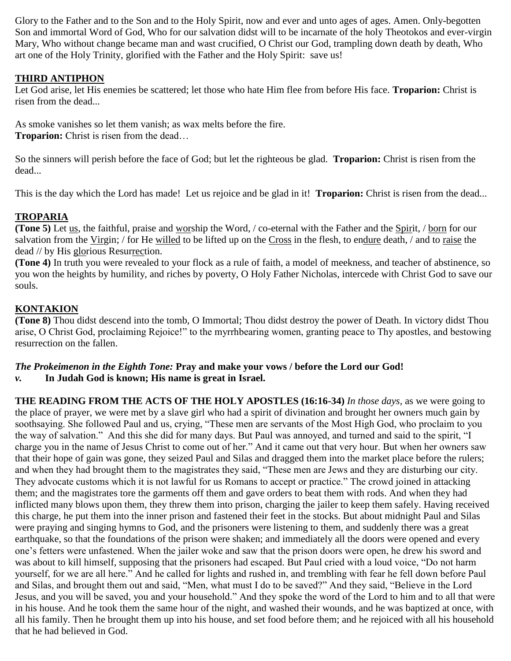Glory to the Father and to the Son and to the Holy Spirit, now and ever and unto ages of ages. Amen. Only-begotten Son and immortal Word of God, Who for our salvation didst will to be incarnate of the holy Theotokos and ever-virgin Mary, Who without change became man and wast crucified, O Christ our God, trampling down death by death, Who art one of the Holy Trinity, glorified with the Father and the Holy Spirit: save us!

# **THIRD ANTIPHON**

Let God arise, let His enemies be scattered; let those who hate Him flee from before His face. **Troparion:** Christ is risen from the dead...

As smoke vanishes so let them vanish; as wax melts before the fire. **Troparion:** Christ is risen from the dead…

So the sinners will perish before the face of God; but let the righteous be glad. **Troparion:** Christ is risen from the dead...

This is the day which the Lord has made! Let us rejoice and be glad in it! **Troparion:** Christ is risen from the dead...

# **TROPARIA**

**(Tone 5)** Let us, the faithful, praise and worship the Word, / co-eternal with the Father and the Spirit, / born for our salvation from the Virgin; / for He willed to be lifted up on the Cross in the flesh, to endure death, / and to raise the dead // by His glorious Resurrection.

**(Tone 4)** In truth you were revealed to your flock as a rule of faith, a model of meekness, and teacher of abstinence, so you won the heights by humility, and riches by poverty, O Holy Father Nicholas, intercede with Christ God to save our souls.

# **KONTAKION**

**(Tone 8)** Thou didst descend into the tomb, O Immortal; Thou didst destroy the power of Death. In victory didst Thou arise, O Christ God, proclaiming Rejoice!" to the myrrhbearing women, granting peace to Thy apostles, and bestowing resurrection on the fallen.

## *The Prokeimenon in the Eighth Tone:* **Pray and make your vows / before the Lord our God!** *v.* **In Judah God is known; His name is great in Israel.**

**THE READING FROM THE ACTS OF THE HOLY APOSTLES (16:16-34)** *In those days,* as we were going to the place of prayer, we were met by a slave girl who had a spirit of divination and brought her owners much gain by soothsaying. She followed Paul and us, crying, "These men are servants of the Most High God, who proclaim to you the way of salvation." And this she did for many days. But Paul was annoyed, and turned and said to the spirit, "I charge you in the name of Jesus Christ to come out of her." And it came out that very hour. But when her owners saw that their hope of gain was gone, they seized Paul and Silas and dragged them into the market place before the rulers; and when they had brought them to the magistrates they said, "These men are Jews and they are disturbing our city. They advocate customs which it is not lawful for us Romans to accept or practice." The crowd joined in attacking them; and the magistrates tore the garments off them and gave orders to beat them with rods. And when they had inflicted many blows upon them, they threw them into prison, charging the jailer to keep them safely. Having received this charge, he put them into the inner prison and fastened their feet in the stocks. But about midnight Paul and Silas were praying and singing hymns to God, and the prisoners were listening to them, and suddenly there was a great earthquake, so that the foundations of the prison were shaken; and immediately all the doors were opened and every one's fetters were unfastened. When the jailer woke and saw that the prison doors were open, he drew his sword and was about to kill himself, supposing that the prisoners had escaped. But Paul cried with a loud voice, "Do not harm yourself, for we are all here." And he called for lights and rushed in, and trembling with fear he fell down before Paul and Silas, and brought them out and said, "Men, what must I do to be saved?" And they said, "Believe in the Lord Jesus, and you will be saved, you and your household." And they spoke the word of the Lord to him and to all that were in his house. And he took them the same hour of the night, and washed their wounds, and he was baptized at once, with all his family. Then he brought them up into his house, and set food before them; and he rejoiced with all his household that he had believed in God.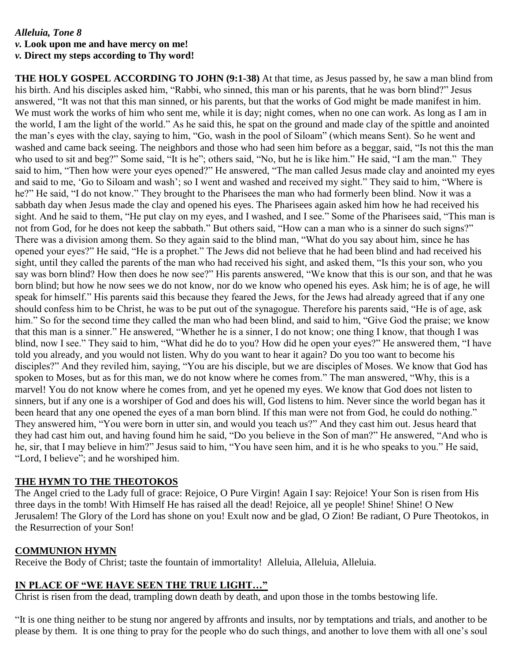### *Alleluia, Tone 8*

*v.* **Look upon me and have mercy on me!**

*v.* **Direct my steps according to Thy word!**

**THE HOLY GOSPEL ACCORDING TO JOHN (9:1-38)** At that time, as Jesus passed by, he saw a man blind from his birth. And his disciples asked him, "Rabbi, who sinned, this man or his parents, that he was born blind?" Jesus answered, "It was not that this man sinned, or his parents, but that the works of God might be made manifest in him. We must work the works of him who sent me, while it is day; night comes, when no one can work. As long as I am in the world, I am the light of the world." As he said this, he spat on the ground and made clay of the spittle and anointed the man's eyes with the clay, saying to him, "Go, wash in the pool of Siloam" (which means Sent). So he went and washed and came back seeing. The neighbors and those who had seen him before as a beggar, said, "Is not this the man who used to sit and beg?" Some said, "It is he"; others said, "No, but he is like him." He said, "I am the man." They said to him, "Then how were your eyes opened?" He answered, "The man called Jesus made clay and anointed my eyes and said to me, 'Go to Siloam and wash'; so I went and washed and received my sight." They said to him, "Where is he?" He said, "I do not know." They brought to the Pharisees the man who had formerly been blind. Now it was a sabbath day when Jesus made the clay and opened his eyes. The Pharisees again asked him how he had received his sight. And he said to them, "He put clay on my eyes, and I washed, and I see." Some of the Pharisees said, "This man is not from God, for he does not keep the sabbath." But others said, "How can a man who is a sinner do such signs?" There was a division among them. So they again said to the blind man, "What do you say about him, since he has opened your eyes?" He said, "He is a prophet." The Jews did not believe that he had been blind and had received his sight, until they called the parents of the man who had received his sight, and asked them, "Is this your son, who you say was born blind? How then does he now see?" His parents answered, "We know that this is our son, and that he was born blind; but how he now sees we do not know, nor do we know who opened his eyes. Ask him; he is of age, he will speak for himself." His parents said this because they feared the Jews, for the Jews had already agreed that if any one should confess him to be Christ, he was to be put out of the synagogue. Therefore his parents said, "He is of age, ask him." So for the second time they called the man who had been blind, and said to him, "Give God the praise; we know that this man is a sinner." He answered, "Whether he is a sinner, I do not know; one thing I know, that though I was blind, now I see." They said to him, "What did he do to you? How did he open your eyes?" He answered them, "I have told you already, and you would not listen. Why do you want to hear it again? Do you too want to become his disciples?" And they reviled him, saying, "You are his disciple, but we are disciples of Moses. We know that God has spoken to Moses, but as for this man, we do not know where he comes from." The man answered, "Why, this is a marvel! You do not know where he comes from, and yet he opened my eyes. We know that God does not listen to sinners, but if any one is a worshiper of God and does his will, God listens to him. Never since the world began has it been heard that any one opened the eyes of a man born blind. If this man were not from God, he could do nothing." They answered him, "You were born in utter sin, and would you teach us?" And they cast him out. Jesus heard that they had cast him out, and having found him he said, "Do you believe in the Son of man?" He answered, "And who is he, sir, that I may believe in him?" Jesus said to him, "You have seen him, and it is he who speaks to you." He said, "Lord, I believe"; and he worshiped him.

### **THE HYMN TO THE THEOTOKOS**

The Angel cried to the Lady full of grace: Rejoice, O Pure Virgin! Again I say: Rejoice! Your Son is risen from His three days in the tomb! With Himself He has raised all the dead! Rejoice, all ye people! Shine! Shine! O New Jerusalem! The Glory of the Lord has shone on you! Exult now and be glad, O Zion! Be radiant, O Pure Theotokos, in the Resurrection of your Son!

### **COMMUNION HYMN**

Receive the Body of Christ; taste the fountain of immortality! Alleluia, Alleluia, Alleluia.

# **IN PLACE OF "WE HAVE SEEN THE TRUE LIGHT…"**

Christ is risen from the dead, trampling down death by death, and upon those in the tombs bestowing life.

"It is one thing neither to be stung nor angered by affronts and insults, nor by temptations and trials, and another to be please by them. It is one thing to pray for the people who do such things, and another to love them with all one's soul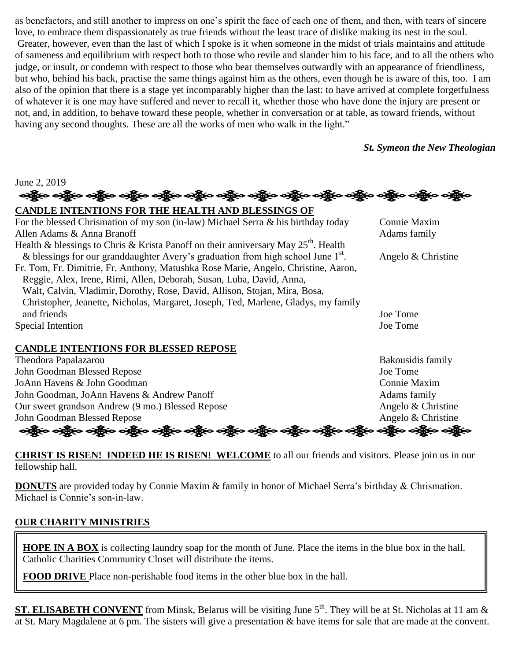as benefactors, and still another to impress on one's spirit the face of each one of them, and then, with tears of sincere love, to embrace them dispassionately as true friends without the least trace of dislike making its nest in the soul. Greater, however, even than the last of which I spoke is it when someone in the midst of trials maintains and attitude of sameness and equilibrium with respect both to those who revile and slander him to his face, and to all the others who judge, or insult, or condemn with respect to those who bear themselves outwardly with an appearance of friendliness, but who, behind his back, practise the same things against him as the others, even though he is aware of this, too. I am also of the opinion that there is a stage yet incomparably higher than the last: to have arrived at complete forgetfulness of whatever it is one may have suffered and never to recall it, whether those who have done the injury are present or not, and, in addition, to behave toward these people, whether in conversation or at table, as toward friends, without having any second thoughts. These are all the works of men who walk in the light."

*St. Symeon the New Theologian*

#### June 2, 2019

| Angelo & Christine |
|--------------------|
|                    |
|                    |
|                    |
|                    |
|                    |
|                    |
|                    |

### **CANDLE INTENTIONS FOR BLESSED REPOSE**

| Theodora Papalazarou                                                                            | Bakousidis family   |
|-------------------------------------------------------------------------------------------------|---------------------|
| John Goodman Blessed Repose                                                                     | Joe Tome            |
| JoAnn Havens & John Goodman                                                                     | <b>Connie Maxim</b> |
| John Goodman, JoAnn Havens & Andrew Panoff                                                      | Adams family        |
| Our sweet grandson Andrew (9 mo.) Blessed Repose                                                | Angelo & Christine  |
| John Goodman Blessed Repose                                                                     | Angelo & Christine  |
| န္ကြားေနန္မွိလ ခန္ဟြာေနန္သြားေနန္သိုင္း ခန္ဟြာေနန္မွိလ ခန္ဟြာေနန္သြား သန္ဟြာေနန္သြား ခန္ဟြာေနန္ |                     |

**CHRIST IS RISEN! INDEED HE IS RISEN! WELCOME** to all our friends and visitors. Please join us in our fellowship hall.

**DONUTS** are provided today by Connie Maxim & family in honor of Michael Serra's birthday & Chrismation. Michael is Connie's son-in-law.

### **OUR CHARITY MINISTRIES**

**HOPE IN A BOX** is collecting laundry soap for the month of June. Place the items in the blue box in the hall. Catholic Charities Community Closet will distribute the items.

**FOOD DRIVE** Place non-perishable food items in the other blue box in the hall.

**ST. ELISABETH CONVENT** from Minsk, Belarus will be visiting June  $5<sup>th</sup>$ . They will be at St. Nicholas at 11 am  $\&$ at St. Mary Magdalene at 6 pm. The sisters will give a presentation & have items for sale that are made at the convent.